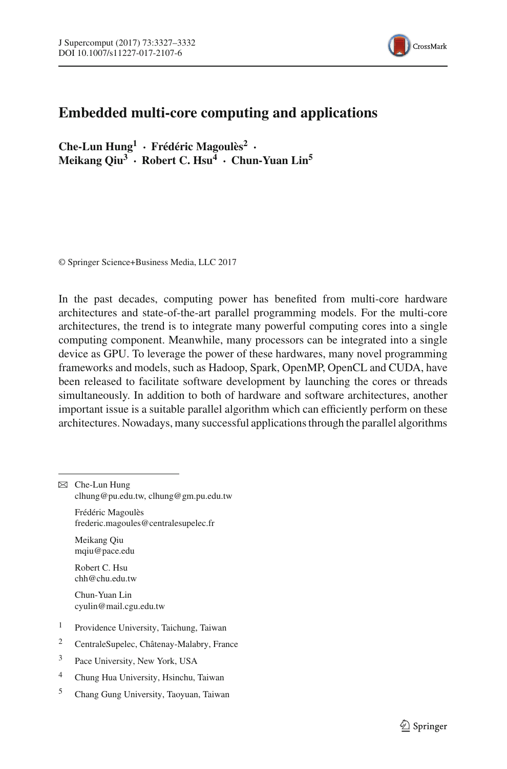

## **Embedded multi-core computing and applications**

**Che-Lun Hung1 · Frédéric Magoulès<sup>2</sup> · Meikang Qiu3 · Robert C. Hsu4 · Chun-Yuan Lin5**

© Springer Science+Business Media, LLC 2017

In the past decades, computing power has benefited from multi-core hardware architectures and state-of-the-art parallel programming models. For the multi-core architectures, the trend is to integrate many powerful computing cores into a single computing component. Meanwhile, many processors can be integrated into a single device as GPU. To leverage the power of these hardwares, many novel programming frameworks and models, such as Hadoop, Spark, OpenMP, OpenCL and CUDA, have been released to facilitate software development by launching the cores or threads simultaneously. In addition to both of hardware and software architectures, another important issue is a suitable parallel algorithm which can efficiently perform on these architectures. Nowadays, many successful applications through the parallel algorithms

Frédéric Magoulès frederic.magoules@centralesupelec.fr

Meikang Qiu mqiu@pace.edu

Robert C. Hsu chh@chu.edu.tw

Chun-Yuan Lin cyulin@mail.cgu.edu.tw

- <sup>1</sup> Providence University, Taichung, Taiwan
- <sup>2</sup> CentraleSupelec, Châtenay-Malabry, France
- <sup>3</sup> Pace University, New York, USA
- <sup>4</sup> Chung Hua University, Hsinchu, Taiwan
- <sup>5</sup> Chang Gung University, Taoyuan, Taiwan

 $\boxtimes$  Che-Lun Hung clhung@pu.edu.tw, clhung@gm.pu.edu.tw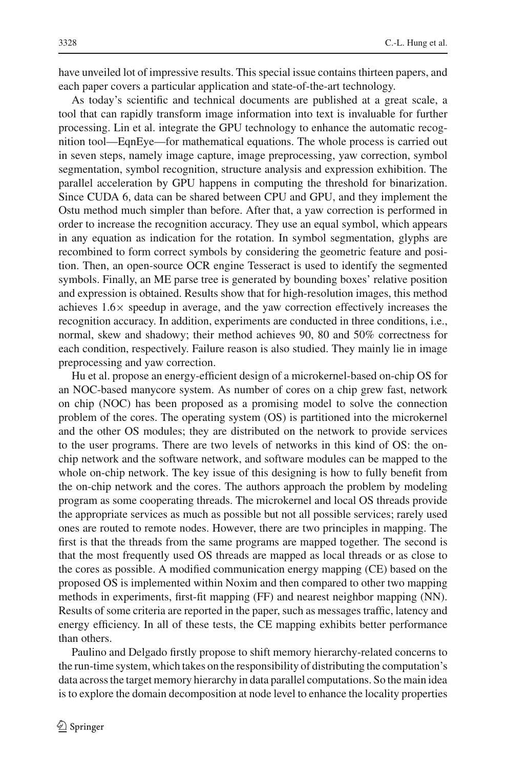have unveiled lot of impressive results. This special issue contains thirteen papers, and each paper covers a particular application and state-of-the-art technology.

As today's scientific and technical documents are published at a great scale, a tool that can rapidly transform image information into text is invaluable for further processing. Lin et al. integrate the GPU technology to enhance the automatic recognition tool—EqnEye—for mathematical equations. The whole process is carried out in seven steps, namely image capture, image preprocessing, yaw correction, symbol segmentation, symbol recognition, structure analysis and expression exhibition. The parallel acceleration by GPU happens in computing the threshold for binarization. Since CUDA 6, data can be shared between CPU and GPU, and they implement the Ostu method much simpler than before. After that, a yaw correction is performed in order to increase the recognition accuracy. They use an equal symbol, which appears in any equation as indication for the rotation. In symbol segmentation, glyphs are recombined to form correct symbols by considering the geometric feature and position. Then, an open-source OCR engine Tesseract is used to identify the segmented symbols. Finally, an ME parse tree is generated by bounding boxes' relative position and expression is obtained. Results show that for high-resolution images, this method achieves  $1.6\times$  speedup in average, and the yaw correction effectively increases the recognition accuracy. In addition, experiments are conducted in three conditions, i.e., normal, skew and shadowy; their method achieves 90, 80 and 50% correctness for each condition, respectively. Failure reason is also studied. They mainly lie in image preprocessing and yaw correction.

Hu et al. propose an energy-efficient design of a microkernel-based on-chip OS for an NOC-based manycore system. As number of cores on a chip grew fast, network on chip (NOC) has been proposed as a promising model to solve the connection problem of the cores. The operating system (OS) is partitioned into the microkernel and the other OS modules; they are distributed on the network to provide services to the user programs. There are two levels of networks in this kind of OS: the onchip network and the software network, and software modules can be mapped to the whole on-chip network. The key issue of this designing is how to fully benefit from the on-chip network and the cores. The authors approach the problem by modeling program as some cooperating threads. The microkernel and local OS threads provide the appropriate services as much as possible but not all possible services; rarely used ones are routed to remote nodes. However, there are two principles in mapping. The first is that the threads from the same programs are mapped together. The second is that the most frequently used OS threads are mapped as local threads or as close to the cores as possible. A modified communication energy mapping (CE) based on the proposed OS is implemented within Noxim and then compared to other two mapping methods in experiments, first-fit mapping (FF) and nearest neighbor mapping (NN). Results of some criteria are reported in the paper, such as messages traffic, latency and energy efficiency. In all of these tests, the CE mapping exhibits better performance than others.

Paulino and Delgado firstly propose to shift memory hierarchy-related concerns to the run-time system, which takes on the responsibility of distributing the computation's data across the target memory hierarchy in data parallel computations. So the main idea is to explore the domain decomposition at node level to enhance the locality properties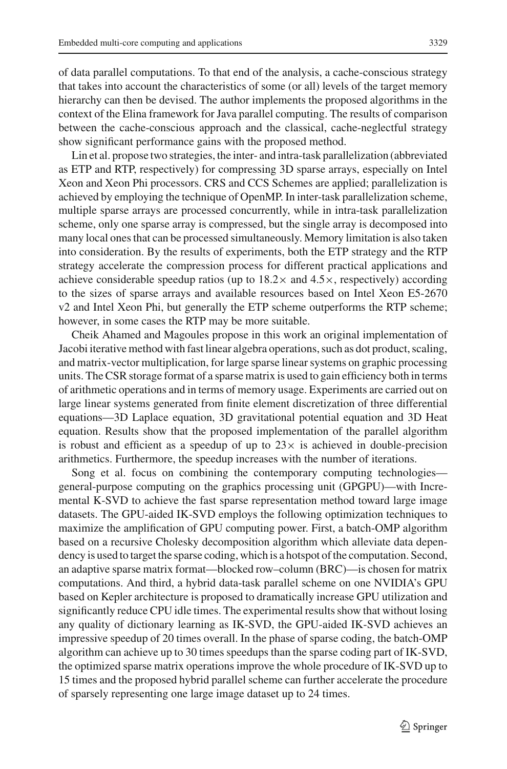of data parallel computations. To that end of the analysis, a cache-conscious strategy that takes into account the characteristics of some (or all) levels of the target memory hierarchy can then be devised. The author implements the proposed algorithms in the context of the Elina framework for Java parallel computing. The results of comparison between the cache-conscious approach and the classical, cache-neglectful strategy show significant performance gains with the proposed method.

Lin et al. propose two strategies, the inter- and intra-task parallelization (abbreviated as ETP and RTP, respectively) for compressing 3D sparse arrays, especially on Intel Xeon and Xeon Phi processors. CRS and CCS Schemes are applied; parallelization is achieved by employing the technique of OpenMP. In inter-task parallelization scheme, multiple sparse arrays are processed concurrently, while in intra-task parallelization scheme, only one sparse array is compressed, but the single array is decomposed into many local ones that can be processed simultaneously. Memory limitation is also taken into consideration. By the results of experiments, both the ETP strategy and the RTP strategy accelerate the compression process for different practical applications and achieve considerable speedup ratios (up to  $18.2\times$  and  $4.5\times$ , respectively) according to the sizes of sparse arrays and available resources based on Intel Xeon E5-2670 v2 and Intel Xeon Phi, but generally the ETP scheme outperforms the RTP scheme; however, in some cases the RTP may be more suitable.

Cheik Ahamed and Magoules propose in this work an original implementation of Jacobi iterative method with fast linear algebra operations, such as dot product, scaling, and matrix-vector multiplication, for large sparse linear systems on graphic processing units. The CSR storage format of a sparse matrix is used to gain efficiency both in terms of arithmetic operations and in terms of memory usage. Experiments are carried out on large linear systems generated from finite element discretization of three differential equations—3D Laplace equation, 3D gravitational potential equation and 3D Heat equation. Results show that the proposed implementation of the parallel algorithm is robust and efficient as a speedup of up to  $23\times$  is achieved in double-precision arithmetics. Furthermore, the speedup increases with the number of iterations.

Song et al. focus on combining the contemporary computing technologies general-purpose computing on the graphics processing unit (GPGPU)—with Incremental K-SVD to achieve the fast sparse representation method toward large image datasets. The GPU-aided IK-SVD employs the following optimization techniques to maximize the amplification of GPU computing power. First, a batch-OMP algorithm based on a recursive Cholesky decomposition algorithm which alleviate data dependency is used to target the sparse coding, which is a hotspot of the computation. Second, an adaptive sparse matrix format—blocked row–column (BRC)—is chosen for matrix computations. And third, a hybrid data-task parallel scheme on one NVIDIA's GPU based on Kepler architecture is proposed to dramatically increase GPU utilization and significantly reduce CPU idle times. The experimental results show that without losing any quality of dictionary learning as IK-SVD, the GPU-aided IK-SVD achieves an impressive speedup of 20 times overall. In the phase of sparse coding, the batch-OMP algorithm can achieve up to 30 times speedups than the sparse coding part of IK-SVD, the optimized sparse matrix operations improve the whole procedure of IK-SVD up to 15 times and the proposed hybrid parallel scheme can further accelerate the procedure of sparsely representing one large image dataset up to 24 times.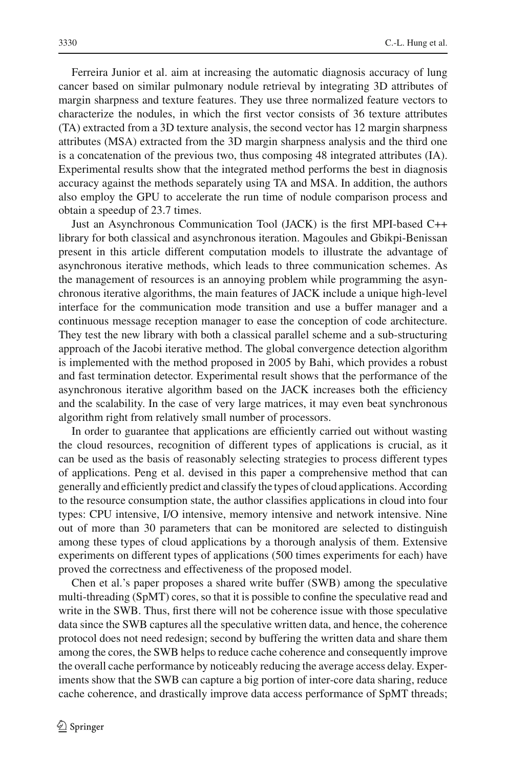Ferreira Junior et al. aim at increasing the automatic diagnosis accuracy of lung cancer based on similar pulmonary nodule retrieval by integrating 3D attributes of margin sharpness and texture features. They use three normalized feature vectors to characterize the nodules, in which the first vector consists of 36 texture attributes (TA) extracted from a 3D texture analysis, the second vector has 12 margin sharpness attributes (MSA) extracted from the 3D margin sharpness analysis and the third one is a concatenation of the previous two, thus composing 48 integrated attributes (IA). Experimental results show that the integrated method performs the best in diagnosis accuracy against the methods separately using TA and MSA. In addition, the authors also employ the GPU to accelerate the run time of nodule comparison process and obtain a speedup of 23.7 times.

Just an Asynchronous Communication Tool (JACK) is the first MPI-based C++ library for both classical and asynchronous iteration. Magoules and Gbikpi-Benissan present in this article different computation models to illustrate the advantage of asynchronous iterative methods, which leads to three communication schemes. As the management of resources is an annoying problem while programming the asynchronous iterative algorithms, the main features of JACK include a unique high-level interface for the communication mode transition and use a buffer manager and a continuous message reception manager to ease the conception of code architecture. They test the new library with both a classical parallel scheme and a sub-structuring approach of the Jacobi iterative method. The global convergence detection algorithm is implemented with the method proposed in 2005 by Bahi, which provides a robust and fast termination detector. Experimental result shows that the performance of the asynchronous iterative algorithm based on the JACK increases both the efficiency and the scalability. In the case of very large matrices, it may even beat synchronous algorithm right from relatively small number of processors.

In order to guarantee that applications are efficiently carried out without wasting the cloud resources, recognition of different types of applications is crucial, as it can be used as the basis of reasonably selecting strategies to process different types of applications. Peng et al. devised in this paper a comprehensive method that can generally and efficiently predict and classify the types of cloud applications. According to the resource consumption state, the author classifies applications in cloud into four types: CPU intensive, I/O intensive, memory intensive and network intensive. Nine out of more than 30 parameters that can be monitored are selected to distinguish among these types of cloud applications by a thorough analysis of them. Extensive experiments on different types of applications (500 times experiments for each) have proved the correctness and effectiveness of the proposed model.

Chen et al.'s paper proposes a shared write buffer (SWB) among the speculative multi-threading (SpMT) cores, so that it is possible to confine the speculative read and write in the SWB. Thus, first there will not be coherence issue with those speculative data since the SWB captures all the speculative written data, and hence, the coherence protocol does not need redesign; second by buffering the written data and share them among the cores, the SWB helps to reduce cache coherence and consequently improve the overall cache performance by noticeably reducing the average access delay. Experiments show that the SWB can capture a big portion of inter-core data sharing, reduce cache coherence, and drastically improve data access performance of SpMT threads;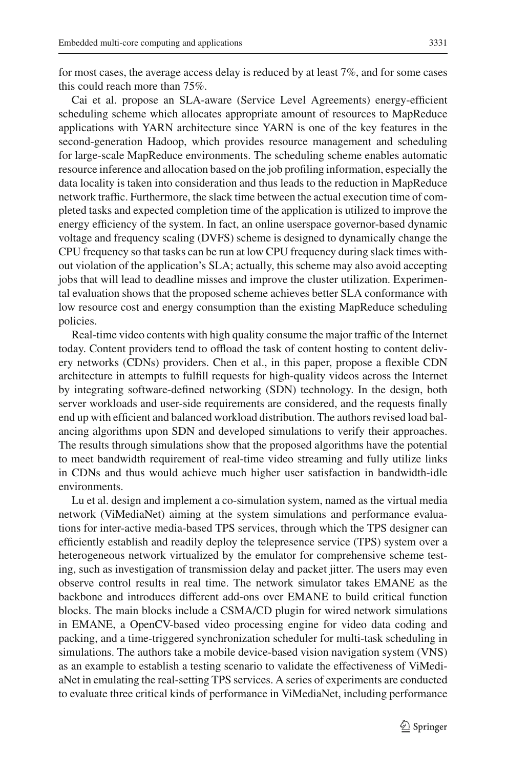for most cases, the average access delay is reduced by at least 7%, and for some cases this could reach more than 75%.

Cai et al. propose an SLA-aware (Service Level Agreements) energy-efficient scheduling scheme which allocates appropriate amount of resources to MapReduce applications with YARN architecture since YARN is one of the key features in the second-generation Hadoop, which provides resource management and scheduling for large-scale MapReduce environments. The scheduling scheme enables automatic resource inference and allocation based on the job profiling information, especially the data locality is taken into consideration and thus leads to the reduction in MapReduce network traffic. Furthermore, the slack time between the actual execution time of completed tasks and expected completion time of the application is utilized to improve the energy efficiency of the system. In fact, an online userspace governor-based dynamic voltage and frequency scaling (DVFS) scheme is designed to dynamically change the CPU frequency so that tasks can be run at low CPU frequency during slack times without violation of the application's SLA; actually, this scheme may also avoid accepting jobs that will lead to deadline misses and improve the cluster utilization. Experimental evaluation shows that the proposed scheme achieves better SLA conformance with low resource cost and energy consumption than the existing MapReduce scheduling policies.

Real-time video contents with high quality consume the major traffic of the Internet today. Content providers tend to offload the task of content hosting to content delivery networks (CDNs) providers. Chen et al., in this paper, propose a flexible CDN architecture in attempts to fulfill requests for high-quality videos across the Internet by integrating software-defined networking (SDN) technology. In the design, both server workloads and user-side requirements are considered, and the requests finally end up with efficient and balanced workload distribution. The authors revised load balancing algorithms upon SDN and developed simulations to verify their approaches. The results through simulations show that the proposed algorithms have the potential to meet bandwidth requirement of real-time video streaming and fully utilize links in CDNs and thus would achieve much higher user satisfaction in bandwidth-idle environments.

Lu et al. design and implement a co-simulation system, named as the virtual media network (ViMediaNet) aiming at the system simulations and performance evaluations for inter-active media-based TPS services, through which the TPS designer can efficiently establish and readily deploy the telepresence service (TPS) system over a heterogeneous network virtualized by the emulator for comprehensive scheme testing, such as investigation of transmission delay and packet jitter. The users may even observe control results in real time. The network simulator takes EMANE as the backbone and introduces different add-ons over EMANE to build critical function blocks. The main blocks include a CSMA/CD plugin for wired network simulations in EMANE, a OpenCV-based video processing engine for video data coding and packing, and a time-triggered synchronization scheduler for multi-task scheduling in simulations. The authors take a mobile device-based vision navigation system (VNS) as an example to establish a testing scenario to validate the effectiveness of ViMediaNet in emulating the real-setting TPS services. A series of experiments are conducted to evaluate three critical kinds of performance in ViMediaNet, including performance